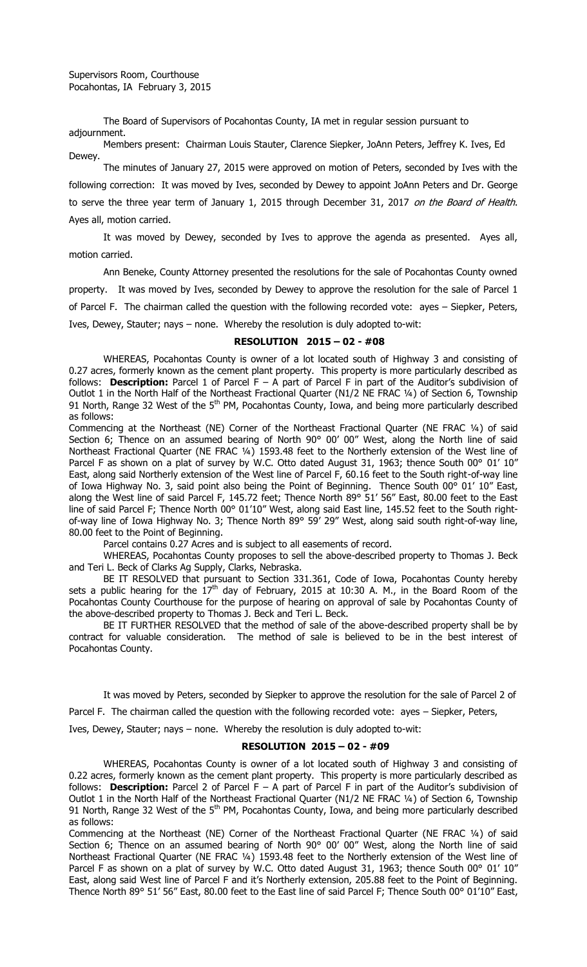The Board of Supervisors of Pocahontas County, IA met in regular session pursuant to adjournment.

Members present: Chairman Louis Stauter, Clarence Siepker, JoAnn Peters, Jeffrey K. Ives, Ed Dewey.

The minutes of January 27, 2015 were approved on motion of Peters, seconded by Ives with the following correction: It was moved by Ives, seconded by Dewey to appoint JoAnn Peters and Dr. George to serve the three year term of January 1, 2015 through December 31, 2017 on the Board of Health. Ayes all, motion carried.

It was moved by Dewey, seconded by Ives to approve the agenda as presented. Ayes all, motion carried.

Ann Beneke, County Attorney presented the resolutions for the sale of Pocahontas County owned property. It was moved by Ives, seconded by Dewey to approve the resolution for the sale of Parcel 1 of Parcel F. The chairman called the question with the following recorded vote: ayes – Siepker, Peters, Ives, Dewey, Stauter; nays – none. Whereby the resolution is duly adopted to-wit:

## **RESOLUTION 2015 – 02 - #08**

WHEREAS, Pocahontas County is owner of a lot located south of Highway 3 and consisting of 0.27 acres, formerly known as the cement plant property. This property is more particularly described as follows: **Description:** Parcel 1 of Parcel F – A part of Parcel F in part of the Auditor's subdivision of Outlot 1 in the North Half of the Northeast Fractional Quarter (N1/2 NE FRAC ¼) of Section 6, Township 91 North, Range 32 West of the 5<sup>th</sup> PM, Pocahontas County, Iowa, and being more particularly described as follows:

Commencing at the Northeast (NE) Corner of the Northeast Fractional Quarter (NE FRAC ¼) of said Section 6; Thence on an assumed bearing of North 90° 00' 00" West, along the North line of said Northeast Fractional Quarter (NE FRAC ¼) 1593.48 feet to the Northerly extension of the West line of Parcel F as shown on a plat of survey by W.C. Otto dated August 31, 1963; thence South 00° 01' 10" East, along said Northerly extension of the West line of Parcel F, 60.16 feet to the South right-of-way line of Iowa Highway No. 3, said point also being the Point of Beginning. Thence South 00° 01' 10" East, along the West line of said Parcel F, 145.72 feet; Thence North 89° 51' 56" East, 80.00 feet to the East line of said Parcel F; Thence North 00° 01'10" West, along said East line, 145.52 feet to the South rightof-way line of Iowa Highway No. 3; Thence North 89° 59' 29" West, along said south right-of-way line, 80.00 feet to the Point of Beginning.

Parcel contains 0.27 Acres and is subject to all easements of record.

WHEREAS, Pocahontas County proposes to sell the above-described property to Thomas J. Beck and Teri L. Beck of Clarks Ag Supply, Clarks, Nebraska.

BE IT RESOLVED that pursuant to Section 331.361, Code of Iowa, Pocahontas County hereby sets a public hearing for the  $17<sup>th</sup>$  day of February, 2015 at 10:30 A. M., in the Board Room of the Pocahontas County Courthouse for the purpose of hearing on approval of sale by Pocahontas County of the above-described property to Thomas J. Beck and Teri L. Beck.

BE IT FURTHER RESOLVED that the method of sale of the above-described property shall be by contract for valuable consideration. The method of sale is believed to be in the best interest of Pocahontas County.

It was moved by Peters, seconded by Siepker to approve the resolution for the sale of Parcel 2 of

Parcel F. The chairman called the question with the following recorded vote: ayes – Siepker, Peters,

Ives, Dewey, Stauter; nays – none. Whereby the resolution is duly adopted to-wit:

## **RESOLUTION 2015 – 02 - #09**

WHEREAS, Pocahontas County is owner of a lot located south of Highway 3 and consisting of 0.22 acres, formerly known as the cement plant property. This property is more particularly described as follows: **Description:** Parcel 2 of Parcel F – A part of Parcel F in part of the Auditor's subdivision of Outlot 1 in the North Half of the Northeast Fractional Quarter (N1/2 NE FRAC ¼) of Section 6, Township 91 North, Range 32 West of the 5<sup>th</sup> PM, Pocahontas County, Iowa, and being more particularly described as follows:

Commencing at the Northeast (NE) Corner of the Northeast Fractional Quarter (NE FRAC ¼) of said Section 6; Thence on an assumed bearing of North 90° 00' 00" West, along the North line of said Northeast Fractional Quarter (NE FRAC ¼) 1593.48 feet to the Northerly extension of the West line of Parcel F as shown on a plat of survey by W.C. Otto dated August 31, 1963; thence South 00° 01' 10" East, along said West line of Parcel F and it's Northerly extension, 205.88 feet to the Point of Beginning. Thence North 89° 51' 56" East, 80.00 feet to the East line of said Parcel F; Thence South 00° 01'10" East,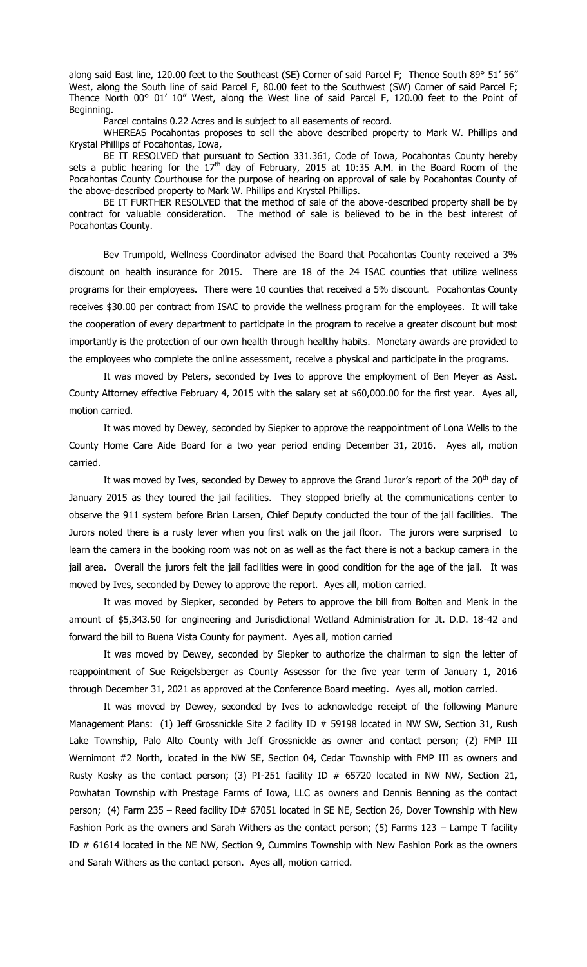along said East line, 120.00 feet to the Southeast (SE) Corner of said Parcel F; Thence South 89° 51' 56" West, along the South line of said Parcel F, 80.00 feet to the Southwest (SW) Corner of said Parcel F; Thence North 00° 01' 10" West, along the West line of said Parcel F, 120.00 feet to the Point of Beginning.

Parcel contains 0.22 Acres and is subject to all easements of record.

WHEREAS Pocahontas proposes to sell the above described property to Mark W. Phillips and Krystal Phillips of Pocahontas, Iowa,

BE IT RESOLVED that pursuant to Section 331.361, Code of Iowa, Pocahontas County hereby sets a public hearing for the  $17<sup>th</sup>$  day of February, 2015 at 10:35 A.M. in the Board Room of the Pocahontas County Courthouse for the purpose of hearing on approval of sale by Pocahontas County of the above-described property to Mark W. Phillips and Krystal Phillips.

BE IT FURTHER RESOLVED that the method of sale of the above-described property shall be by contract for valuable consideration. The method of sale is believed to be in the best interest of Pocahontas County.

Bev Trumpold, Wellness Coordinator advised the Board that Pocahontas County received a 3% discount on health insurance for 2015. There are 18 of the 24 ISAC counties that utilize wellness programs for their employees. There were 10 counties that received a 5% discount. Pocahontas County receives \$30.00 per contract from ISAC to provide the wellness program for the employees. It will take the cooperation of every department to participate in the program to receive a greater discount but most importantly is the protection of our own health through healthy habits. Monetary awards are provided to the employees who complete the online assessment, receive a physical and participate in the programs.

It was moved by Peters, seconded by Ives to approve the employment of Ben Meyer as Asst. County Attorney effective February 4, 2015 with the salary set at \$60,000.00 for the first year. Ayes all, motion carried.

It was moved by Dewey, seconded by Siepker to approve the reappointment of Lona Wells to the County Home Care Aide Board for a two year period ending December 31, 2016. Ayes all, motion carried.

It was moved by Ives, seconded by Dewey to approve the Grand Juror's report of the  $20<sup>th</sup>$  day of January 2015 as they toured the jail facilities. They stopped briefly at the communications center to observe the 911 system before Brian Larsen, Chief Deputy conducted the tour of the jail facilities. The Jurors noted there is a rusty lever when you first walk on the jail floor. The jurors were surprised to learn the camera in the booking room was not on as well as the fact there is not a backup camera in the jail area. Overall the jurors felt the jail facilities were in good condition for the age of the jail. It was moved by Ives, seconded by Dewey to approve the report. Ayes all, motion carried.

It was moved by Siepker, seconded by Peters to approve the bill from Bolten and Menk in the amount of \$5,343.50 for engineering and Jurisdictional Wetland Administration for Jt. D.D. 18-42 and forward the bill to Buena Vista County for payment. Ayes all, motion carried

It was moved by Dewey, seconded by Siepker to authorize the chairman to sign the letter of reappointment of Sue Reigelsberger as County Assessor for the five year term of January 1, 2016 through December 31, 2021 as approved at the Conference Board meeting. Ayes all, motion carried.

It was moved by Dewey, seconded by Ives to acknowledge receipt of the following Manure Management Plans: (1) Jeff Grossnickle Site 2 facility ID # 59198 located in NW SW, Section 31, Rush Lake Township, Palo Alto County with Jeff Grossnickle as owner and contact person; (2) FMP III Wernimont #2 North, located in the NW SE, Section 04, Cedar Township with FMP III as owners and Rusty Kosky as the contact person; (3) PI-251 facility ID  $#$  65720 located in NW NW, Section 21, Powhatan Township with Prestage Farms of Iowa, LLC as owners and Dennis Benning as the contact person; (4) Farm 235 - Reed facility ID# 67051 located in SE NE, Section 26, Dover Township with New Fashion Pork as the owners and Sarah Withers as the contact person; (5) Farms 123 - Lampe T facility ID # 61614 located in the NE NW, Section 9, Cummins Township with New Fashion Pork as the owners and Sarah Withers as the contact person. Ayes all, motion carried.